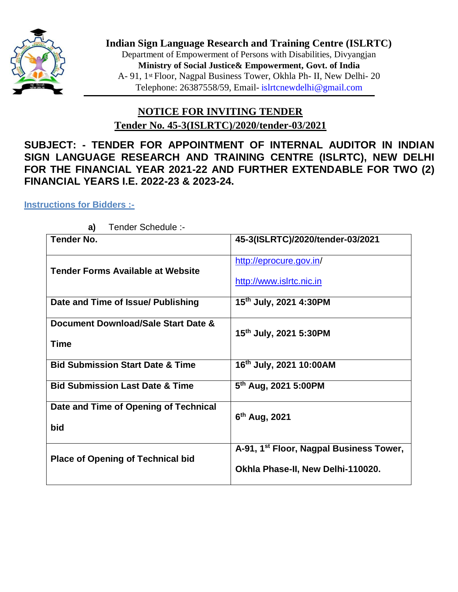

**Indian Sign Language Research and Training Centre (ISLRTC)** Department of Empowerment of Persons with Disabilities, Divyangjan **Ministry of Social Justice& Empowerment, Govt. of India** A- 91, 1st Floor, Nagpal Business Tower, Okhla Ph- II, New Delhi- 20 Telephone: 26387558/59, Email- [islrtcnewdelhi@gmail.com](mailto:islrtcnewdelhi@gmail.com)

# **NOTICE FOR INVITING TENDER Tender No. 45-3(ISLRTC)/2020/tender-03/2021**

**SUBJECT: - TENDER FOR APPOINTMENT OF INTERNAL AUDITOR IN INDIAN SIGN LANGUAGE RESEARCH AND TRAINING CENTRE (ISLRTC), NEW DELHI FOR THE FINANCIAL YEAR 2021-22 AND FURTHER EXTENDABLE FOR TWO (2) FINANCIAL YEARS I.E. 2022-23 & 2023-24.** 

## **Instructions for Bidders :-**

| 45-3(ISLRTC)/2020/tender-03/2021                    |
|-----------------------------------------------------|
| http://eprocure.gov.in/<br>http://www.islrtc.nic.in |
|                                                     |
| 15th July, 2021 4:30PM                              |
| 15th July, 2021 5:30PM                              |
|                                                     |
| 16th July, 2021 10:00AM                             |
| 5 <sup>th</sup> Aug, 2021 5:00PM                    |
|                                                     |
| $6th$ Aug, 2021                                     |
| A-91, 1 <sup>st</sup> Floor, Nagpal Business Tower, |
| Okhla Phase-II, New Delhi-110020.                   |
|                                                     |

**a)** Tender Schedule :-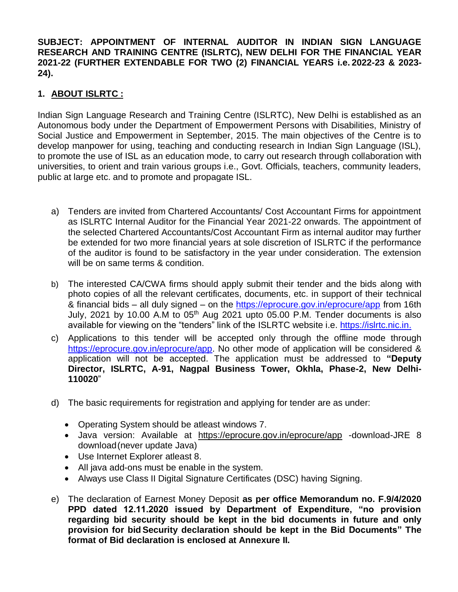**SUBJECT: APPOINTMENT OF INTERNAL AUDITOR IN INDIAN SIGN LANGUAGE RESEARCH AND TRAINING CENTRE (ISLRTC), NEW DELHI FOR THE FINANCIAL YEAR 2021-22 (FURTHER EXTENDABLE FOR TWO (2) FINANCIAL YEARS i.e. 2022-23 & 2023- 24).**

# **1. ABOUT ISLRTC :**

Indian Sign Language Research and Training Centre (ISLRTC), New Delhi is established as an Autonomous body under the Department of Empowerment Persons with Disabilities, Ministry of Social Justice and Empowerment in September, 2015. The main objectives of the Centre is to develop manpower for using, teaching and conducting research in Indian Sign Language (ISL), to promote the use of ISL as an education mode, to carry out research through collaboration with universities, to orient and train various groups i.e., Govt. Officials, teachers, community leaders, public at large etc. and to promote and propagate ISL.

- a) Tenders are invited from Chartered Accountants/ Cost Accountant Firms for appointment as ISLRTC Internal Auditor for the Financial Year 2021-22 onwards. The appointment of the selected Chartered Accountants/Cost Accountant Firm as internal auditor may further be extended for two more financial years at sole discretion of ISLRTC if the performance of the auditor is found to be satisfactory in the year under consideration. The extension will be on same terms & condition.
- b) The interested CA/CWA firms should apply submit their tender and the bids along with photo copies of all the relevant certificates, documents, etc. in support of their technical & financial bids – all duly signed – on the https://eprocure.gov.in/eprocure/app from 16th July, 2021 by 10.00 A.M to  $05<sup>th</sup>$  Aug 2021 upto 05.00 P.M. Tender documents is also available for viewing on the "tenders" link of the ISLRTC website i.e. https://islrtc.nic.in.
- c) Applications to this tender will be accepted only through the offline mode through https://eprocure.gov.in/eprocure/app. No other mode of application will be considered & application will not be accepted. The application must be addressed to **"Deputy Director, ISLRTC, A-91, Nagpal Business Tower, Okhla, Phase-2, New Delhi-110020**"
- d) The basic requirements for registration and applying for tender are as under:
	- Operating System should be atleast windows 7.
	- Java version: Available at https://eprocure.gov.in/eprocure/app -download-JRE 8 download(never update Java)
	- Use Internet Explorer atleast 8.
	- All java add-ons must be enable in the system.
	- Always use Class II Digital Signature Certificates (DSC) having Signing.
- e) The declaration of Earnest Money Deposit **as per office Memorandum no. F.9/4/2020 PPD dated 12.11.2020 issued by Department of Expenditure, "no provision regarding bid security should be kept in the bid documents in future and only provision for bid Security declaration should be kept in the Bid Documents" The format of Bid declaration is enclosed at Annexure II.**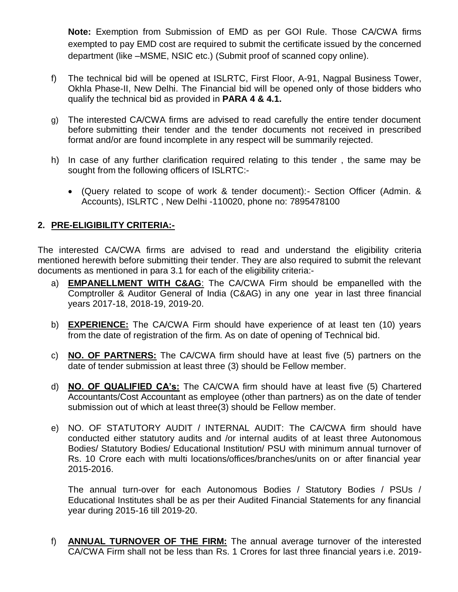**Note:** Exemption from Submission of EMD as per GOI Rule. Those CA/CWA firms exempted to pay EMD cost are required to submit the certificate issued by the concerned department (like –MSME, NSIC etc.) (Submit proof of scanned copy online).

- f) The technical bid will be opened at ISLRTC, First Floor, A-91, Nagpal Business Tower, Okhla Phase-II, New Delhi. The Financial bid will be opened only of those bidders who qualify the technical bid as provided in **PARA 4 & 4.1.**
- g) The interested CA/CWA firms are advised to read carefully the entire tender document before submitting their tender and the tender documents not received in prescribed format and/or are found incomplete in any respect will be summarily rejected.
- h) In case of any further clarification required relating to this tender , the same may be sought from the following officers of ISLRTC:-
	- (Query related to scope of work & tender document):- Section Officer (Admin. & Accounts), ISLRTC , New Delhi -110020, phone no: 7895478100

# **2. PRE-ELIGIBILITY CRITERIA:-**

The interested CA/CWA firms are advised to read and understand the eligibility criteria mentioned herewith before submitting their tender. They are also required to submit the relevant documents as mentioned in para 3.1 for each of the eligibility criteria:-

- a) **EMPANELLMENT WITH C&AG**: The CA/CWA Firm should be empanelled with the Comptroller & Auditor General of India (C&AG) in any one year in last three financial years 2017-18, 2018-19, 2019-20.
- b) **EXPERIENCE:** The CA/CWA Firm should have experience of at least ten (10) years from the date of registration of the firm. As on date of opening of Technical bid.
- c) **NO. OF PARTNERS:** The CA/CWA firm should have at least five (5) partners on the date of tender submission at least three (3) should be Fellow member.
- d) **NO. OF QUALIFIED CA's:** The CA/CWA firm should have at least five (5) Chartered Accountants/Cost Accountant as employee (other than partners) as on the date of tender submission out of which at least three(3) should be Fellow member.
- e) NO. OF STATUTORY AUDIT / INTERNAL AUDIT: The CA/CWA firm should have conducted either statutory audits and /or internal audits of at least three Autonomous Bodies/ Statutory Bodies/ Educational Institution/ PSU with minimum annual turnover of Rs. 10 Crore each with multi locations/offices/branches/units on or after financial year 2015-2016.

The annual turn-over for each Autonomous Bodies / Statutory Bodies / PSUs / Educational Institutes shall be as per their Audited Financial Statements for any financial year during 2015-16 till 2019-20.

f) **ANNUAL TURNOVER OF THE FIRM:** The annual average turnover of the interested CA/CWA Firm shall not be less than Rs. 1 Crores for last three financial years i.e. 2019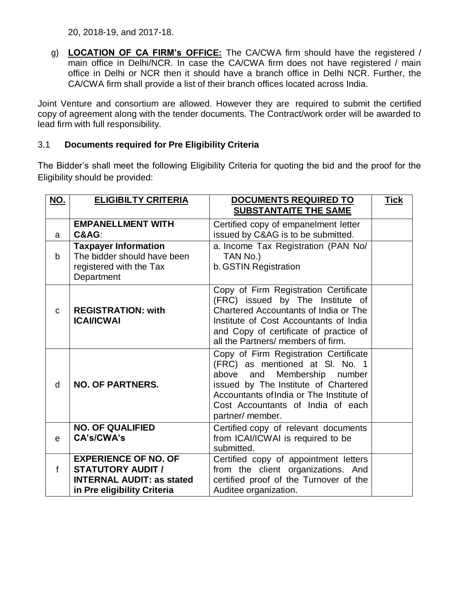g) **LOCATION OF CA FIRM's OFFICE:** The CA/CWA firm should have the registered / main office in Delhi/NCR. In case the CA/CWA firm does not have registered / main office in Delhi or NCR then it should have a branch office in Delhi NCR. Further, the CA/CWA firm shall provide a list of their branch offices located across India.

Joint Venture and consortium are allowed. However they are required to submit the certified copy of agreement along with the tender documents. The Contract/work order will be awarded to lead firm with full responsibility.

## 3.1 **Documents required for Pre Eligibility Criteria**

The Bidder's shall meet the following Eligibility Criteria for quoting the bid and the proof for the Eligibility should be provided:

| <b>NO.</b>   | <b>ELIGIBILTY CRITERIA</b>                                                                                                 | <b>DOCUMENTS REQUIRED TO</b>                                                                                                                                                                                                                         | <u>Tick</u> |
|--------------|----------------------------------------------------------------------------------------------------------------------------|------------------------------------------------------------------------------------------------------------------------------------------------------------------------------------------------------------------------------------------------------|-------------|
|              |                                                                                                                            | <b>SUBSTANTAITE THE SAME</b>                                                                                                                                                                                                                         |             |
|              | <b>EMPANELLMENT WITH</b>                                                                                                   | Certified copy of empanelment letter                                                                                                                                                                                                                 |             |
| a            | C&AG:                                                                                                                      | issued by C&AG is to be submitted.                                                                                                                                                                                                                   |             |
| b            | <b>Taxpayer Information</b><br>The bidder should have been<br>registered with the Tax<br>Department                        | a. Income Tax Registration (PAN No/<br>TAN No.)<br>b. GSTIN Registration                                                                                                                                                                             |             |
| $\mathbf C$  | <b>REGISTRATION: with</b><br><b>ICAVICWAI</b>                                                                              | Copy of Firm Registration Certificate<br>(FRC) issued by The Institute of<br>Chartered Accountants of India or The<br>Institute of Cost Accountants of India<br>and Copy of certificate of practice of<br>all the Partners/ members of firm.         |             |
| d            | <b>NO. OF PARTNERS.</b>                                                                                                    | Copy of Firm Registration Certificate<br>(FRC) as mentioned at SI. No. 1<br>above and Membership number<br>issued by The Institute of Chartered<br>Accountants of India or The Institute of<br>Cost Accountants of India of each<br>partner/ member. |             |
| e            | <b>NO. OF QUALIFIED</b><br><b>CA's/CWA's</b>                                                                               | Certified copy of relevant documents<br>from ICAI/ICWAI is required to be<br>submitted.                                                                                                                                                              |             |
| $\mathsf{f}$ | <b>EXPERIENCE OF NO. OF</b><br><b>STATUTORY AUDIT /</b><br><b>INTERNAL AUDIT: as stated</b><br>in Pre eligibility Criteria | Certified copy of appointment letters<br>from the client organizations. And<br>certified proof of the Turnover of the<br>Auditee organization.                                                                                                       |             |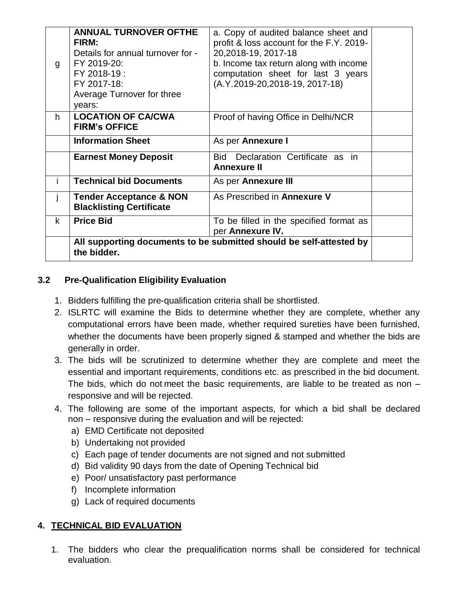| g           | <b>ANNUAL TURNOVER OFTHE</b><br><b>FIRM:</b><br>Details for annual turnover for -<br>FY 2019-20:<br>FY 2018-19:<br>FY 2017-18:<br>Average Turnover for three<br>years: | a. Copy of audited balance sheet and<br>profit & loss account for the F.Y. 2019-<br>20,2018-19, 2017-18<br>b. Income tax return along with income<br>computation sheet for last 3 years<br>(A.Y.2019-20,2018-19, 2017-18) |  |
|-------------|------------------------------------------------------------------------------------------------------------------------------------------------------------------------|---------------------------------------------------------------------------------------------------------------------------------------------------------------------------------------------------------------------------|--|
| h.          | <b>LOCATION OF CA/CWA</b><br><b>FIRM's OFFICE</b>                                                                                                                      | Proof of having Office in Delhi/NCR                                                                                                                                                                                       |  |
|             | <b>Information Sheet</b>                                                                                                                                               | As per Annexure I                                                                                                                                                                                                         |  |
|             | <b>Earnest Money Deposit</b>                                                                                                                                           | Bid Declaration Certificate as in<br><b>Annexure II</b>                                                                                                                                                                   |  |
|             | <b>Technical bid Documents</b>                                                                                                                                         | As per <b>Annexure III</b>                                                                                                                                                                                                |  |
|             | <b>Tender Acceptance &amp; NON</b><br><b>Blacklisting Certificate</b>                                                                                                  | As Prescribed in Annexure V                                                                                                                                                                                               |  |
| $\mathsf k$ | <b>Price Bid</b>                                                                                                                                                       | To be filled in the specified format as<br>per Annexure IV.                                                                                                                                                               |  |
|             | the bidder.                                                                                                                                                            | All supporting documents to be submitted should be self-attested by                                                                                                                                                       |  |

# **3.2 Pre-Qualification Eligibility Evaluation**

- 1. Bidders fulfilling the pre-qualification criteria shall be shortlisted.
- 2. ISLRTC will examine the Bids to determine whether they are complete, whether any computational errors have been made, whether required sureties have been furnished, whether the documents have been properly signed & stamped and whether the bids are generally in order.
- 3. The bids will be scrutinized to determine whether they are complete and meet the essential and important requirements, conditions etc. as prescribed in the bid document. The bids, which do not meet the basic requirements, are liable to be treated as non – responsive and will be rejected.
- 4. The following are some of the important aspects, for which a bid shall be declared non – responsive during the evaluation and will be rejected:
	- a) EMD Certificate not deposited
	- b) Undertaking not provided
	- c) Each page of tender documents are not signed and not submitted
	- d) Bid validity 90 days from the date of Opening Technical bid
	- e) Poor/ unsatisfactory past performance
	- f) Incomplete information
	- g) Lack of required documents

## **4. TECHNICAL BID EVALUATION**

1. The bidders who clear the prequalification norms shall be considered for technical evaluation.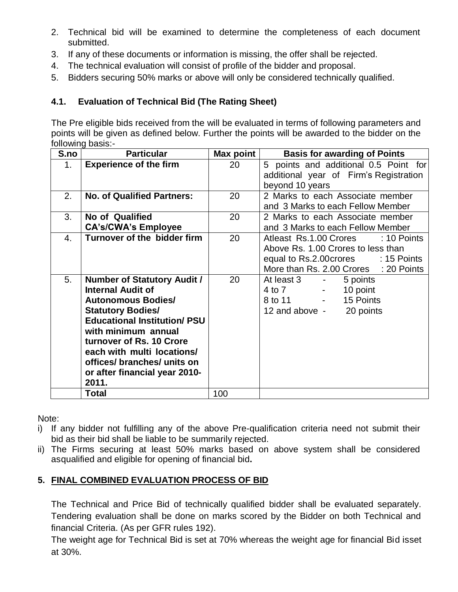- 2. Technical bid will be examined to determine the completeness of each document submitted.
- 3. If any of these documents or information is missing, the offer shall be rejected.
- 4. The technical evaluation will consist of profile of the bidder and proposal.
- 5. Bidders securing 50% marks or above will only be considered technically qualified.

# **4.1. Evaluation of Technical Bid (The Rating Sheet)**

The Pre eligible bids received from the will be evaluated in terms of following parameters and points will be given as defined below. Further the points will be awarded to the bidder on the following basis:-

| S.no | <b>Particular</b>                   | Max point | <b>Basis for awarding of Points</b>           |
|------|-------------------------------------|-----------|-----------------------------------------------|
| 1.   | <b>Experience of the firm</b>       | 20        | 5 points and additional 0.5 Point for         |
|      |                                     |           | additional year of Firm's Registration        |
|      |                                     |           | beyond 10 years                               |
| 2.   | <b>No. of Qualified Partners:</b>   | 20        | 2 Marks to each Associate member              |
|      |                                     |           | and 3 Marks to each Fellow Member             |
| 3.   | No of Qualified                     | 20        | 2 Marks to each Associate member              |
|      | <b>CA's/CWA's Employee</b>          |           | and 3 Marks to each Fellow Member             |
| 4.   | Turnover of the bidder firm         | 20        | Atleast Rs.1.00 Crores<br>$: 10$ Points       |
|      |                                     |           | Above Rs. 1.00 Crores to less than            |
|      |                                     |           | equal to Rs.2.00 crores : 15 Points           |
|      |                                     |           | More than Rs. 2.00 Crores : 20 Points         |
| 5.   | <b>Number of Statutory Audit /</b>  | 20        | At least 3<br>5 points<br>$\sim 100$          |
|      | <b>Internal Audit of</b>            |           | 10 point<br>4 to 7<br>$\sim 100$ km s $^{-1}$ |
|      | <b>Autonomous Bodies/</b>           |           | 15 Points<br>8 to 11 -                        |
|      | <b>Statutory Bodies/</b>            |           | 12 and above -<br>20 points                   |
|      | <b>Educational Institution/ PSU</b> |           |                                               |
|      | with minimum annual                 |           |                                               |
|      | turnover of Rs. 10 Crore            |           |                                               |
|      | each with multi locations/          |           |                                               |
|      | offices/ branches/ units on         |           |                                               |
|      | or after financial year 2010-       |           |                                               |
|      | 2011.                               |           |                                               |
|      | Total                               | 100       |                                               |

Note:

- i) If any bidder not fulfilling any of the above Pre-qualification criteria need not submit their bid as their bid shall be liable to be summarily rejected.
- ii) The Firms securing at least 50% marks based on above system shall be considered asqualified and eligible for opening of financial bid**.**

# **5. FINAL COMBINED EVALUATION PROCESS OF BID**

The Technical and Price Bid of technically qualified bidder shall be evaluated separately. Tendering evaluation shall be done on marks scored by the Bidder on both Technical and financial Criteria. (As per GFR rules 192).

The weight age for Technical Bid is set at 70% whereas the weight age for financial Bid isset at 30%.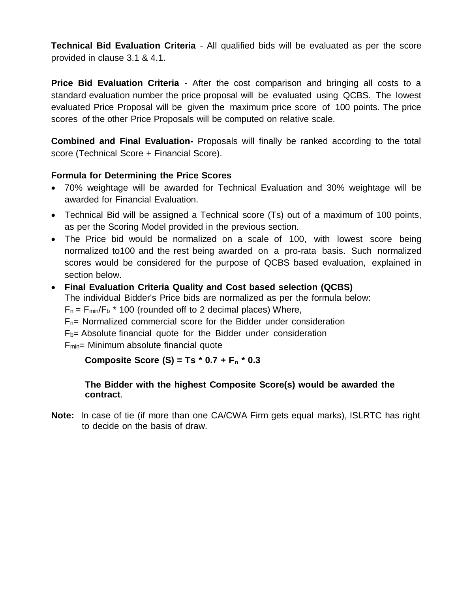**Technical Bid Evaluation Criteria** - All qualified bids will be evaluated as per the score provided in clause 3.1 & 4.1.

**Price Bid Evaluation Criteria** - After the cost comparison and bringing all costs to a standard evaluation number the price proposal will be evaluated using QCBS. The lowest evaluated Price Proposal will be given the maximum price score of 100 points. The price scores of the other Price Proposals will be computed on relative scale.

**Combined and Final Evaluation-** Proposals will finally be ranked according to the total score (Technical Score + Financial Score).

# **Formula for Determining the Price Scores**

- 70% weightage will be awarded for Technical Evaluation and 30% weightage will be awarded for Financial Evaluation.
- Technical Bid will be assigned a Technical score (Ts) out of a maximum of 100 points, as per the Scoring Model provided in the previous section.
- The Price bid would be normalized on a scale of 100, with lowest score being normalized to100 and the rest being awarded on a pro-rata basis. Such normalized scores would be considered for the purpose of QCBS based evaluation, explained in section below.
- **Final Evaluation Criteria Quality and Cost based selection (QCBS)**

The individual Bidder's Price bids are normalized as per the formula below:

 $F_n = F_{min}/F_b$  \* 100 (rounded off to 2 decimal places) Where,

 $F_n$ = Normalized commercial score for the Bidder under consideration

 $F_b$ = Absolute financial quote for the Bidder under consideration

 $F<sub>min</sub>$ = Minimum absolute financial quote

## **Composite Score (S) = Ts \* 0.7 + F<sup>n</sup> \* 0.3**

## **The Bidder with the highest Composite Score(s) would be awarded the contract**.

**Note:** In case of tie (if more than one CA/CWA Firm gets equal marks), ISLRTC has right to decide on the basis of draw.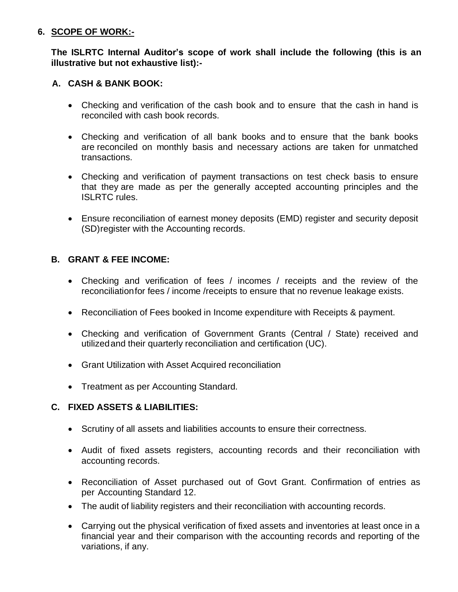#### **6. SCOPE OF WORK:-**

## **The ISLRTC Internal Auditor's scope of work shall include the following (this is an illustrative but not exhaustive list):-**

# **A. CASH & BANK BOOK:**

- Checking and verification of the cash book and to ensure that the cash in hand is reconciled with cash book records.
- Checking and verification of all bank books and to ensure that the bank books are reconciled on monthly basis and necessary actions are taken for unmatched transactions.
- Checking and verification of payment transactions on test check basis to ensure that they are made as per the generally accepted accounting principles and the ISLRTC rules.
- Ensure reconciliation of earnest money deposits (EMD) register and security deposit (SD)register with the Accounting records.

## **B. GRANT & FEE INCOME:**

- Checking and verification of fees / incomes / receipts and the review of the reconciliationfor fees / income /receipts to ensure that no revenue leakage exists.
- Reconciliation of Fees booked in Income expenditure with Receipts & payment.
- Checking and verification of Government Grants (Central / State) received and utilized and their quarterly reconciliation and certification (UC).
- Grant Utilization with Asset Acquired reconciliation
- Treatment as per Accounting Standard.

## **C. FIXED ASSETS & LIABILITIES:**

- Scrutiny of all assets and liabilities accounts to ensure their correctness.
- Audit of fixed assets registers, accounting records and their reconciliation with accounting records.
- Reconciliation of Asset purchased out of Govt Grant. Confirmation of entries as per Accounting Standard 12.
- The audit of liability registers and their reconciliation with accounting records.
- Carrying out the physical verification of fixed assets and inventories at least once in a financial year and their comparison with the accounting records and reporting of the variations, if any.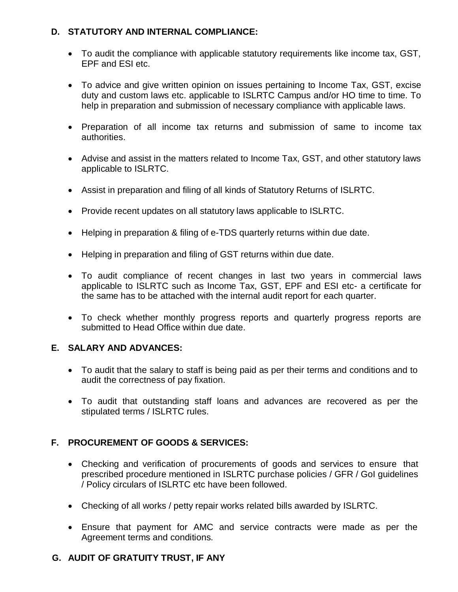## **D. STATUTORY AND INTERNAL COMPLIANCE:**

- To audit the compliance with applicable statutory requirements like income tax, GST, EPF and ESI etc.
- To advice and give written opinion on issues pertaining to Income Tax, GST, excise duty and custom laws etc. applicable to ISLRTC Campus and/or HO time to time. To help in preparation and submission of necessary compliance with applicable laws.
- Preparation of all income tax returns and submission of same to income tax authorities.
- Advise and assist in the matters related to Income Tax, GST, and other statutory laws applicable to ISLRTC.
- Assist in preparation and filing of all kinds of Statutory Returns of ISLRTC.
- Provide recent updates on all statutory laws applicable to ISLRTC.
- Helping in preparation & filing of e-TDS quarterly returns within due date.
- Helping in preparation and filing of GST returns within due date.
- To audit compliance of recent changes in last two years in commercial laws applicable to ISLRTC such as Income Tax, GST, EPF and ESI etc- a certificate for the same has to be attached with the internal audit report for each quarter.
- To check whether monthly progress reports and quarterly progress reports are submitted to Head Office within due date.

#### **E. SALARY AND ADVANCES:**

- To audit that the salary to staff is being paid as per their terms and conditions and to audit the correctness of pay fixation.
- To audit that outstanding staff loans and advances are recovered as per the stipulated terms / ISLRTC rules.

## **F. PROCUREMENT OF GOODS & SERVICES:**

- Checking and verification of procurements of goods and services to ensure that prescribed procedure mentioned in ISLRTC purchase policies / GFR / GoI guidelines / Policy circulars of ISLRTC etc have been followed.
- Checking of all works / petty repair works related bills awarded by ISLRTC.
- Ensure that payment for AMC and service contracts were made as per the Agreement terms and conditions.

## **G. AUDIT OF GRATUITY TRUST, IF ANY**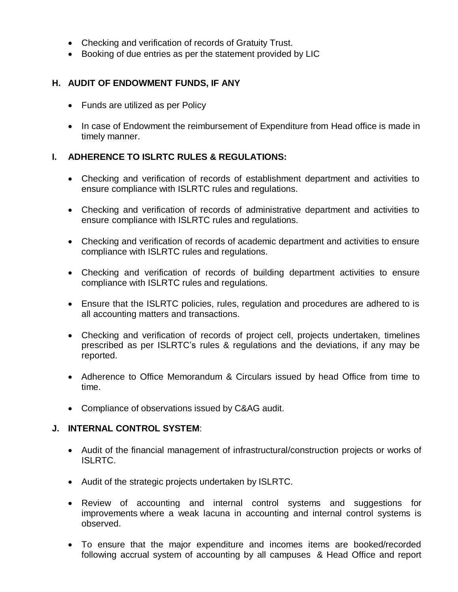- Checking and verification of records of Gratuity Trust.
- Booking of due entries as per the statement provided by LIC

#### **H. AUDIT OF ENDOWMENT FUNDS, IF ANY**

- Funds are utilized as per Policy
- In case of Endowment the reimbursement of Expenditure from Head office is made in timely manner.

#### **I. ADHERENCE TO ISLRTC RULES & REGULATIONS:**

- Checking and verification of records of establishment department and activities to ensure compliance with ISLRTC rules and regulations.
- Checking and verification of records of administrative department and activities to ensure compliance with ISLRTC rules and regulations.
- Checking and verification of records of academic department and activities to ensure compliance with ISLRTC rules and regulations.
- Checking and verification of records of building department activities to ensure compliance with ISLRTC rules and regulations.
- Ensure that the ISLRTC policies, rules, regulation and procedures are adhered to is all accounting matters and transactions.
- Checking and verification of records of project cell, projects undertaken, timelines prescribed as per ISLRTC's rules & regulations and the deviations, if any may be reported.
- Adherence to Office Memorandum & Circulars issued by head Office from time to time.
- Compliance of observations issued by C&AG audit.

#### **J. INTERNAL CONTROL SYSTEM**:

- Audit of the financial management of infrastructural/construction projects or works of ISLRTC.
- Audit of the strategic projects undertaken by ISLRTC.
- Review of accounting and internal control systems and suggestions for improvements where a weak lacuna in accounting and internal control systems is observed.
- To ensure that the major expenditure and incomes items are booked/recorded following accrual system of accounting by all campuses & Head Office and report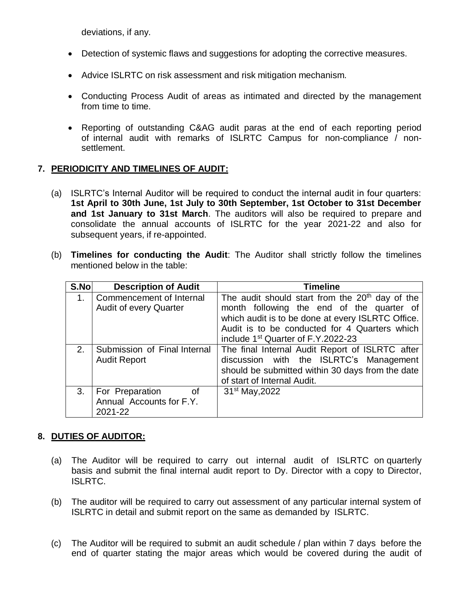deviations, if any.

- Detection of systemic flaws and suggestions for adopting the corrective measures.
- Advice ISLRTC on risk assessment and risk mitigation mechanism.
- Conducting Process Audit of areas as intimated and directed by the management from time to time.
- Reporting of outstanding C&AG audit paras at the end of each reporting period of internal audit with remarks of ISLRTC Campus for non-compliance / nonsettlement.

## **7. PERIODICITY AND TIMELINES OF AUDIT:**

- (a) ISLRTC's Internal Auditor will be required to conduct the internal audit in four quarters: **1st April to 30th June, 1st July to 30th September, 1st October to 31st December and 1st January to 31st March**. The auditors will also be required to prepare and consolidate the annual accounts of ISLRTC for the year 2021-22 and also for subsequent years, if re-appointed.
- (b) **Timelines for conducting the Audit**: The Auditor shall strictly follow the timelines mentioned below in the table:

| S.No           | <b>Description of Audit</b>                                  | <b>Timeline</b>                                                                                                                                                                                                                                                  |
|----------------|--------------------------------------------------------------|------------------------------------------------------------------------------------------------------------------------------------------------------------------------------------------------------------------------------------------------------------------|
| 1 <sub>1</sub> | Commencement of Internal<br><b>Audit of every Quarter</b>    | The audit should start from the 20 <sup>th</sup> day of the<br>month following the end of the quarter of<br>which audit is to be done at every ISLRTC Office.<br>Audit is to be conducted for 4 Quarters which<br>include 1 <sup>st</sup> Quarter of F.Y.2022-23 |
| 2.             | Submission of Final Internal<br><b>Audit Report</b>          | The final Internal Audit Report of ISLRTC after<br>discussion with the ISLRTC's Management<br>should be submitted within 30 days from the date<br>of start of Internal Audit.                                                                                    |
| 3.             | For Preparation<br>0f<br>Annual Accounts for F.Y.<br>2021-22 | 31 <sup>st</sup> May, 2022                                                                                                                                                                                                                                       |

## **8. DUTIES OF AUDITOR:**

- (a) The Auditor will be required to carry out internal audit of ISLRTC on quarterly basis and submit the final internal audit report to Dy. Director with a copy to Director, ISLRTC.
- (b) The auditor will be required to carry out assessment of any particular internal system of ISLRTC in detail and submit report on the same as demanded by ISLRTC.
- (c) The Auditor will be required to submit an audit schedule / plan within 7 days before the end of quarter stating the major areas which would be covered during the audit of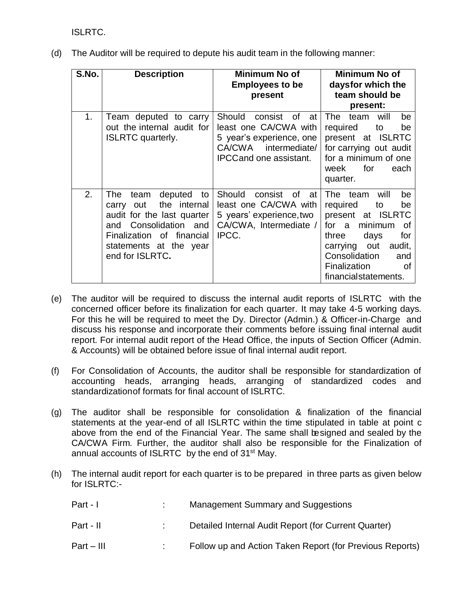ISLRTC.

(d) The Auditor will be required to depute his audit team in the following manner:

| S.No.          | <b>Description</b>                                                                                                                                                                            | Minimum No of<br><b>Employees to be</b><br>present                                                                                       | Minimum No of<br>daysfor which the<br>team should be<br>present:                                                                                                                                                           |
|----------------|-----------------------------------------------------------------------------------------------------------------------------------------------------------------------------------------------|------------------------------------------------------------------------------------------------------------------------------------------|----------------------------------------------------------------------------------------------------------------------------------------------------------------------------------------------------------------------------|
| 1 <sub>1</sub> | Team deputed to carry<br>out the internal audit for<br><b>ISLRTC</b> quarterly.                                                                                                               | Should<br>consist of<br>at<br>least one CA/CWA with<br>5 year's experience, one<br>CA/CWA intermediate/<br><b>IPCCand one assistant.</b> | The<br>team<br>will<br>be<br>required<br>be<br>to<br>present at ISLRTC<br>for carrying out audit<br>for a minimum of one<br>for<br>week<br>each<br>quarter.                                                                |
| 2.             | deputed to<br>The<br>team<br>the internal<br>out<br>carry<br>audit for the last quarter<br>Consolidation and<br>and<br>Finalization of financial<br>statements at the year<br>end for ISLRTC. | Should<br>consist of<br>at<br>least one CA/CWA with<br>5 years' experience, two<br>CA/CWA, Intermediate /<br>IPCC.                       | be<br>will<br>The team<br>required<br>be<br>to<br>present at ISLRTC<br>minimum<br>a a<br>for<br>οf<br>for<br>days<br>three<br>carrying out<br>audit,<br>Consolidation<br>and<br>Finalization<br>οf<br>financialstatements. |

- (e) The auditor will be required to discuss the internal audit reports of ISLRTC with the concerned officer before its finalization for each quarter. It may take 4-5 working days. For this he will be required to meet the Dy. Director (Admin.) & Officer-in-Charge and discuss his response and incorporate their comments before issuing final internal audit report. For internal audit report of the Head Office, the inputs of Section Officer (Admin. & Accounts) will be obtained before issue of final internal audit report.
- (f) For Consolidation of Accounts, the auditor shall be responsible for standardization of accounting heads, arranging heads, arranging of standardized codes and standardizationof formats for final account of ISLRTC.
- (g) The auditor shall be responsible for consolidation & finalization of the financial statements at the year-end of all ISLRTC within the time stipulated in table at point c above from the end of the Financial Year. The same shall besigned and sealed by the CA/CWA Firm. Further, the auditor shall also be responsible for the Finalization of annual accounts of ISLRTC by the end of 31<sup>st</sup> May.
- (h) The internal audit report for each quarter is to be prepared in three parts as given below for ISLRTC:-

| Part - I   | <b>Management Summary and Suggestions</b>                |
|------------|----------------------------------------------------------|
| Part - II  | Detailed Internal Audit Report (for Current Quarter)     |
| Part – III | Follow up and Action Taken Report (for Previous Reports) |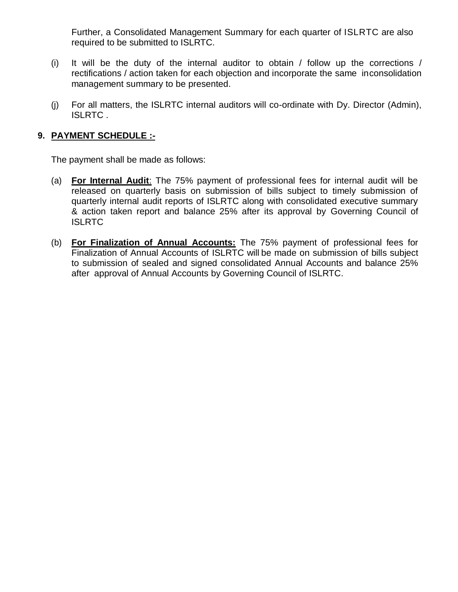Further, a Consolidated Management Summary for each quarter of ISLRTC are also required to be submitted to ISLRTC.

- (i) It will be the duty of the internal auditor to obtain / follow up the corrections / rectifications / action taken for each objection and incorporate the same inconsolidation management summary to be presented.
- (j) For all matters, the ISLRTC internal auditors will co-ordinate with Dy. Director (Admin), ISLRTC .

## **9. PAYMENT SCHEDULE :-**

The payment shall be made as follows:

- (a) **For Internal Audit**: The 75% payment of professional fees for internal audit will be released on quarterly basis on submission of bills subject to timely submission of quarterly internal audit reports of ISLRTC along with consolidated executive summary & action taken report and balance 25% after its approval by Governing Council of ISLRTC
- (b) **For Finalization of Annual Accounts:** The 75% payment of professional fees for Finalization of Annual Accounts of ISLRTC will be made on submission of bills subject to submission of sealed and signed consolidated Annual Accounts and balance 25% after approval of Annual Accounts by Governing Council of ISLRTC.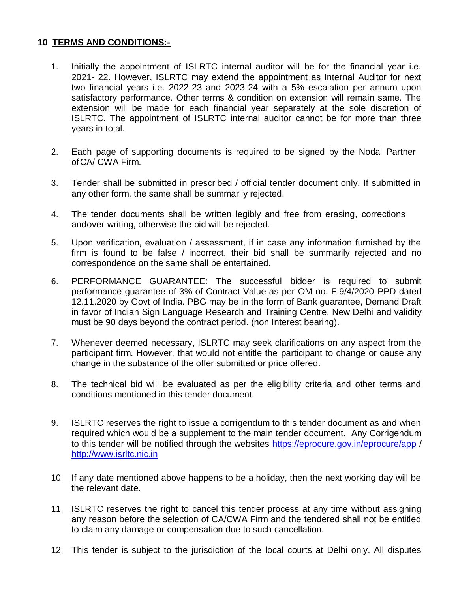## **10 TERMS AND CONDITIONS:-**

- 1. Initially the appointment of ISLRTC internal auditor will be for the financial year i.e. 2021- 22. However, ISLRTC may extend the appointment as Internal Auditor for next two financial years i.e. 2022-23 and 2023-24 with a 5% escalation per annum upon satisfactory performance. Other terms & condition on extension will remain same. The extension will be made for each financial year separately at the sole discretion of ISLRTC. The appointment of ISLRTC internal auditor cannot be for more than three years in total.
- 2. Each page of supporting documents is required to be signed by the Nodal Partner ofCA/ CWA Firm.
- 3. Tender shall be submitted in prescribed / official tender document only. If submitted in any other form, the same shall be summarily rejected.
- 4. The tender documents shall be written legibly and free from erasing, corrections andover-writing, otherwise the bid will be rejected.
- 5. Upon verification, evaluation / assessment, if in case any information furnished by the firm is found to be false / incorrect, their bid shall be summarily rejected and no correspondence on the same shall be entertained.
- 6. PERFORMANCE GUARANTEE: The successful bidder is required to submit performance guarantee of 3% of Contract Value as per OM no. F.9/4/2020-PPD dated 12.11.2020 by Govt of India. PBG may be in the form of Bank guarantee, Demand Draft in favor of Indian Sign Language Research and Training Centre, New Delhi and validity must be 90 days beyond the contract period. (non Interest bearing).
- 7. Whenever deemed necessary, ISLRTC may seek clarifications on any aspect from the participant firm. However, that would not entitle the participant to change or cause any change in the substance of the offer submitted or price offered.
- 8. The technical bid will be evaluated as per the eligibility criteria and other terms and conditions mentioned in this tender document.
- 9. ISLRTC reserves the right to issue a corrigendum to this tender document as and when required which would be a supplement to the main tender document. Any Corrigendum to this tender will be notified through the websites https://eprocure.gov.in/eprocure/app / [http://www.isrltc.nic.in](http://www.isrltc.nic.in/)
- 10. If any date mentioned above happens to be a holiday, then the next working day will be the relevant date.
- 11. ISLRTC reserves the right to cancel this tender process at any time without assigning any reason before the selection of CA/CWA Firm and the tendered shall not be entitled to claim any damage or compensation due to such cancellation.
- 12. This tender is subject to the jurisdiction of the local courts at Delhi only. All disputes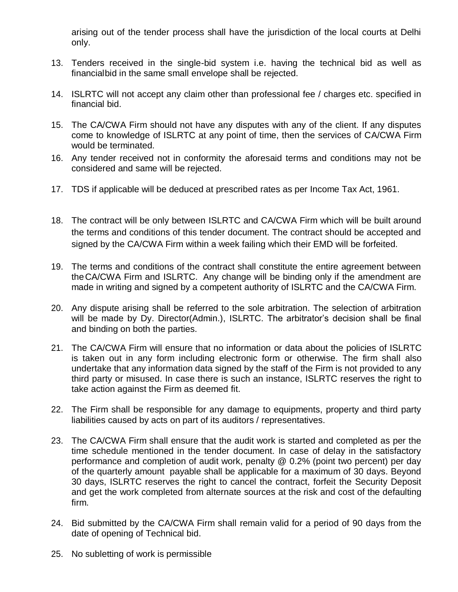arising out of the tender process shall have the jurisdiction of the local courts at Delhi only.

- 13. Tenders received in the single-bid system i.e. having the technical bid as well as financialbid in the same small envelope shall be rejected.
- 14. ISLRTC will not accept any claim other than professional fee / charges etc. specified in financial bid.
- 15. The CA/CWA Firm should not have any disputes with any of the client. If any disputes come to knowledge of ISLRTC at any point of time, then the services of CA/CWA Firm would be terminated.
- 16. Any tender received not in conformity the aforesaid terms and conditions may not be considered and same will be rejected.
- 17. TDS if applicable will be deduced at prescribed rates as per Income Tax Act, 1961.
- 18. The contract will be only between ISLRTC and CA/CWA Firm which will be built around the terms and conditions of this tender document. The contract should be accepted and signed by the CA/CWA Firm within a week failing which their EMD will be forfeited.
- 19. The terms and conditions of the contract shall constitute the entire agreement between theCA/CWA Firm and ISLRTC. Any change will be binding only if the amendment are made in writing and signed by a competent authority of ISLRTC and the CA/CWA Firm.
- 20. Any dispute arising shall be referred to the sole arbitration. The selection of arbitration will be made by Dy. Director(Admin.), ISLRTC. The arbitrator's decision shall be final and binding on both the parties.
- 21. The CA/CWA Firm will ensure that no information or data about the policies of ISLRTC is taken out in any form including electronic form or otherwise. The firm shall also undertake that any information data signed by the staff of the Firm is not provided to any third party or misused. In case there is such an instance, ISLRTC reserves the right to take action against the Firm as deemed fit.
- 22. The Firm shall be responsible for any damage to equipments, property and third party liabilities caused by acts on part of its auditors / representatives.
- 23. The CA/CWA Firm shall ensure that the audit work is started and completed as per the time schedule mentioned in the tender document. In case of delay in the satisfactory performance and completion of audit work, penalty @ 0.2% (point two percent) per day of the quarterly amount payable shall be applicable for a maximum of 30 days. Beyond 30 days, ISLRTC reserves the right to cancel the contract, forfeit the Security Deposit and get the work completed from alternate sources at the risk and cost of the defaulting firm.
- 24. Bid submitted by the CA/CWA Firm shall remain valid for a period of 90 days from the date of opening of Technical bid.
- 25. No subletting of work is permissible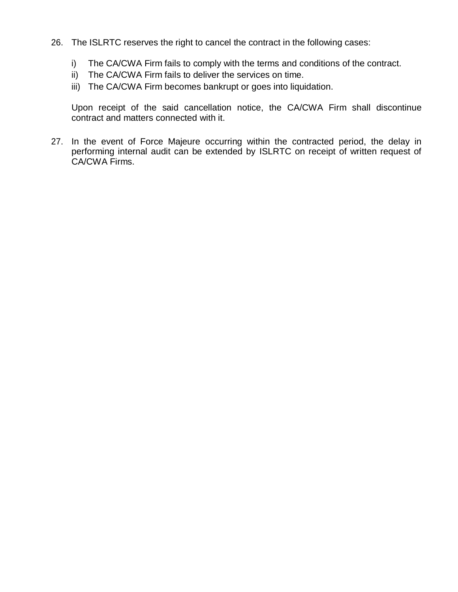- 26. The ISLRTC reserves the right to cancel the contract in the following cases:
	- i) The CA/CWA Firm fails to comply with the terms and conditions of the contract.
	- ii) The CA/CWA Firm fails to deliver the services on time.
	- iii) The CA/CWA Firm becomes bankrupt or goes into liquidation.

Upon receipt of the said cancellation notice, the CA/CWA Firm shall discontinue contract and matters connected with it.

27. In the event of Force Majeure occurring within the contracted period, the delay in performing internal audit can be extended by ISLRTC on receipt of written request of CA/CWA Firms.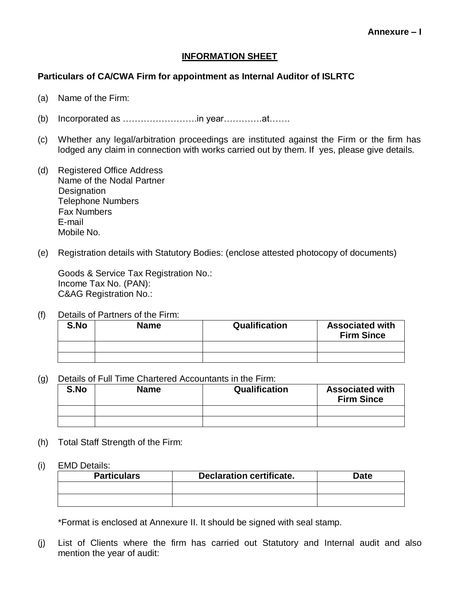#### **INFORMATION SHEET**

#### **Particulars of CA/CWA Firm for appointment as Internal Auditor of ISLRTC**

- (a) Name of the Firm:
- (b) Incorporated as …………………….in year………….at…….
- (c) Whether any legal/arbitration proceedings are instituted against the Firm or the firm has lodged any claim in connection with works carried out by them. If yes, please give details.
- (d) Registered Office Address Name of the Nodal Partner **Designation** Telephone Numbers Fax Numbers E-mail Mobile No.
- (e) Registration details with Statutory Bodies: (enclose attested photocopy of documents)

Goods & Service Tax Registration No.: Income Tax No. (PAN): C&AG Registration No.:

(f) Details of Partners of the Firm:

| S.No | <b>Name</b> | Qualification | <b>Associated with</b><br><b>Firm Since</b> |
|------|-------------|---------------|---------------------------------------------|
|      |             |               |                                             |
|      |             |               |                                             |

(g) Details of Full Time Chartered Accountants in the Firm:

| S.No | Name | Qualification | <b>Associated with</b><br><b>Firm Since</b> |
|------|------|---------------|---------------------------------------------|
|      |      |               |                                             |
|      |      |               |                                             |

- (h) Total Staff Strength of the Firm:
- (i) EMD Details:

| <b>Particulars</b> | <b>Declaration certificate.</b> | Date |
|--------------------|---------------------------------|------|
|                    |                                 |      |
|                    |                                 |      |

\*Format is enclosed at Annexure II. It should be signed with seal stamp.

(j) List of Clients where the firm has carried out Statutory and Internal audit and also mention the year of audit: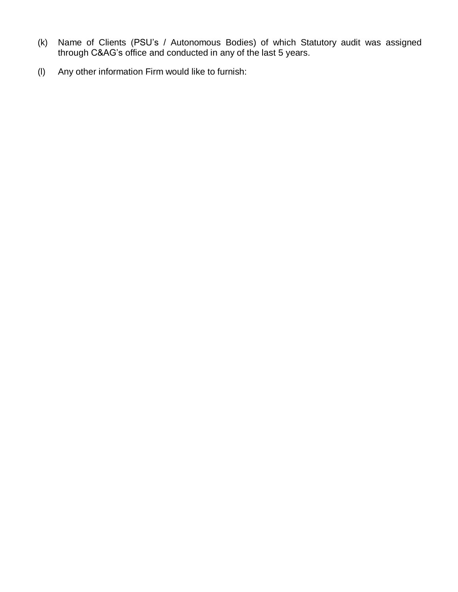- (k) Name of Clients (PSU's / Autonomous Bodies) of which Statutory audit was assigned through C&AG's office and conducted in any of the last 5 years.
- (l) Any other information Firm would like to furnish: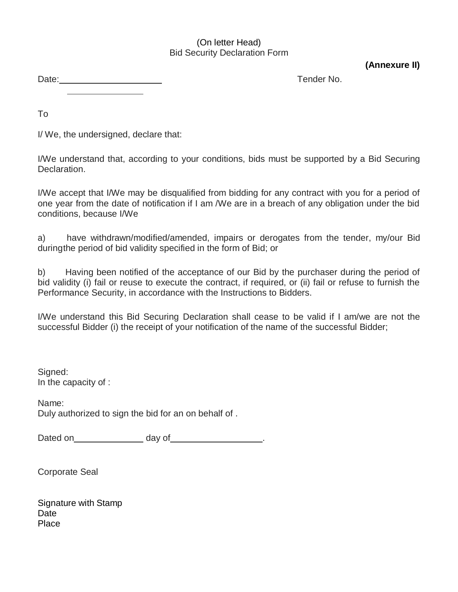#### (On letter Head) Bid Security Declaration Form

**(Annexure II)**

Date: <u>Contract Communication</u> Contract Contract Contract Contract Contract Contract Contract Contract Contract Contract Contract Contract Contract Contract Contract Contract Contract Contract Contract Contract Contract Co 

To

I/ We, the undersigned, declare that:

I/We understand that, according to your conditions, bids must be supported by a Bid Securing Declaration.

I/We accept that I/We may be disqualified from bidding for any contract with you for a period of one year from the date of notification if I am /We are in a breach of any obligation under the bid conditions, because I/We

a) have withdrawn/modified/amended, impairs or derogates from the tender, my/our Bid duringthe period of bid validity specified in the form of Bid; or

b) Having been notified of the acceptance of our Bid by the purchaser during the period of bid validity (i) fail or reuse to execute the contract, if required, or (ii) fail or refuse to furnish the Performance Security, in accordance with the Instructions to Bidders.

I/We understand this Bid Securing Declaration shall cease to be valid if I am/we are not the successful Bidder (i) the receipt of your notification of the name of the successful Bidder;

Signed: In the capacity of :

Name: Duly authorized to sign the bid for an on behalf of .

Dated on day of ... and a control of the day of ... and a control of the day of ... . . . . . . . . . . . . . .

Corporate Seal

Signature with Stamp **Date Place**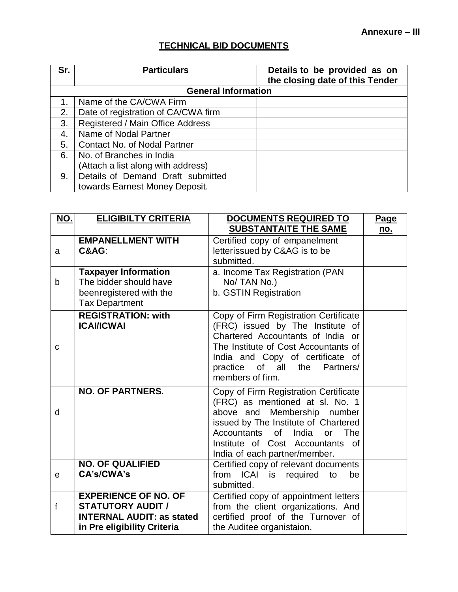# **TECHNICAL BID DOCUMENTS**

| Sr.          | <b>Particulars</b>                  | Details to be provided as on<br>the closing date of this Tender |
|--------------|-------------------------------------|-----------------------------------------------------------------|
|              | <b>General Information</b>          |                                                                 |
|              | Name of the CA/CWA Firm             |                                                                 |
| 2.           | Date of registration of CA/CWA firm |                                                                 |
| 3.           | Registered / Main Office Address    |                                                                 |
| $\mathbf{4}$ | Name of Nodal Partner               |                                                                 |
| 5.           | <b>Contact No. of Nodal Partner</b> |                                                                 |
| 6.           | No. of Branches in India            |                                                                 |
|              | (Attach a list along with address)  |                                                                 |
| 9.           | Details of Demand Draft submitted   |                                                                 |
|              | towards Earnest Money Deposit.      |                                                                 |

| <u>NO.</u> | <b>ELIGIBILTY CRITERIA</b>                                                                                                 | DOCUMENTS REQUIRED TO<br><b>SUBSTANTAITE THE SAME</b>                                                                                                                                                                                                                                   | <b>Page</b><br><u>no.</u> |
|------------|----------------------------------------------------------------------------------------------------------------------------|-----------------------------------------------------------------------------------------------------------------------------------------------------------------------------------------------------------------------------------------------------------------------------------------|---------------------------|
| a          | <b>EMPANELLMENT WITH</b><br>C&AG:                                                                                          | Certified copy of empanelment<br>letterissued by C&AG is to be<br>submitted.                                                                                                                                                                                                            |                           |
| b          | <b>Taxpayer Information</b><br>The bidder should have<br>beenregistered with the<br><b>Tax Department</b>                  | a. Income Tax Registration (PAN<br>No/TAN No.)<br>b. GSTIN Registration                                                                                                                                                                                                                 |                           |
| C          | <b>REGISTRATION: with</b><br><b>ICAI/ICWAI</b>                                                                             | Copy of Firm Registration Certificate<br>(FRC) issued by The Institute of<br>Chartered Accountants of India or<br>The Institute of Cost Accountants of<br>India and Copy of certificate of<br>practice of all<br>Partners/<br>the<br>members of firm.                                   |                           |
| d          | <b>NO. OF PARTNERS.</b>                                                                                                    | Copy of Firm Registration Certificate<br>(FRC) as mentioned at sl. No. 1<br>Membership number<br>above and<br>issued by The Institute of Chartered<br>Accountants<br>of<br>India<br><b>or</b><br>The<br>Institute of Cost Accountants<br><sub>of</sub><br>India of each partner/member. |                           |
| e          | <b>NO. OF QUALIFIED</b><br>CA's/CWA's                                                                                      | Certified copy of relevant documents<br>from ICAI is required to<br>be<br>submitted.                                                                                                                                                                                                    |                           |
| f          | <b>EXPERIENCE OF NO. OF</b><br><b>STATUTORY AUDIT /</b><br><b>INTERNAL AUDIT: as stated</b><br>in Pre eligibility Criteria | Certified copy of appointment letters<br>from the client organizations. And<br>certified proof of the Turnover of<br>the Auditee organistaion.                                                                                                                                          |                           |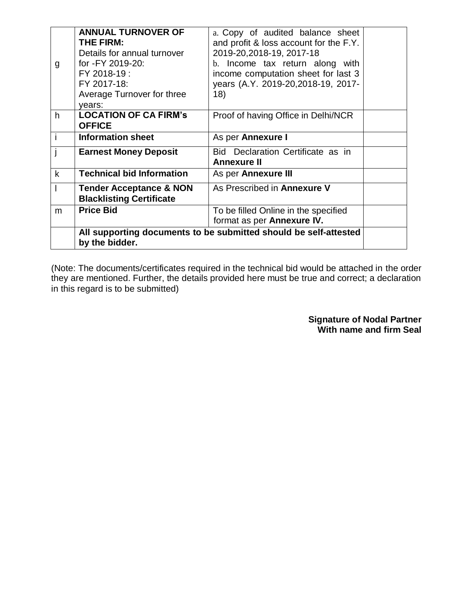| g           | <b>ANNUAL TURNOVER OF</b><br><b>THE FIRM:</b><br>Details for annual turnover<br>for -FY 2019-20:<br>FY 2018-19:<br>FY 2017-18:<br>Average Turnover for three<br>years: | a. Copy of audited balance sheet<br>and profit & loss account for the F.Y.<br>2019-20,2018-19, 2017-18<br>Income tax return along with<br>$h_{-}$<br>income computation sheet for last 3<br>years (A.Y. 2019-20, 2018-19, 2017-<br>18) |  |  |  |
|-------------|------------------------------------------------------------------------------------------------------------------------------------------------------------------------|----------------------------------------------------------------------------------------------------------------------------------------------------------------------------------------------------------------------------------------|--|--|--|
| h           | <b>LOCATION OF CA FIRM's</b><br><b>OFFICE</b>                                                                                                                          | Proof of having Office in Delhi/NCR                                                                                                                                                                                                    |  |  |  |
|             | <b>Information sheet</b>                                                                                                                                               | As per Annexure I                                                                                                                                                                                                                      |  |  |  |
|             | <b>Earnest Money Deposit</b>                                                                                                                                           | Bid Declaration Certificate as in<br><b>Annexure II</b>                                                                                                                                                                                |  |  |  |
| $\mathsf k$ | <b>Technical bid Information</b>                                                                                                                                       | As per Annexure III                                                                                                                                                                                                                    |  |  |  |
|             | <b>Tender Acceptance &amp; NON</b><br><b>Blacklisting Certificate</b>                                                                                                  | As Prescribed in Annexure V                                                                                                                                                                                                            |  |  |  |
| m           | <b>Price Bid</b>                                                                                                                                                       | To be filled Online in the specified<br>format as per Annexure IV.                                                                                                                                                                     |  |  |  |
|             | All supporting documents to be submitted should be self-attested<br>by the bidder.                                                                                     |                                                                                                                                                                                                                                        |  |  |  |

(Note: The documents/certificates required in the technical bid would be attached in the order they are mentioned. Further, the details provided here must be true and correct; a declaration in this regard is to be submitted)

> **Signature of Nodal Partner With name and firm Seal**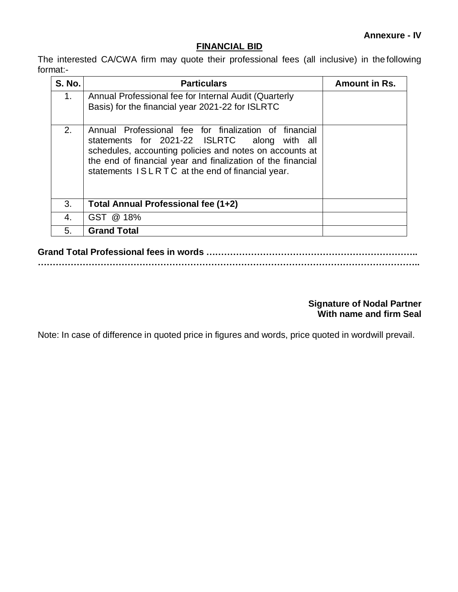## **FINANCIAL BID**

The interested CA/CWA firm may quote their professional fees (all inclusive) in the following format:-

| <b>S. No.</b>  | <b>Particulars</b>                                                                                                                                                                                                                                                                    | Amount in Rs. |
|----------------|---------------------------------------------------------------------------------------------------------------------------------------------------------------------------------------------------------------------------------------------------------------------------------------|---------------|
| 1 <sub>1</sub> | Annual Professional fee for Internal Audit (Quarterly<br>Basis) for the financial year 2021-22 for ISLRTC                                                                                                                                                                             |               |
| 2.             | Annual Professional fee for finalization of financial<br>statements for 2021-22 ISLRTC<br>along with all<br>schedules, accounting policies and notes on accounts at<br>the end of financial year and finalization of the financial<br>statements ISLRTC at the end of financial year. |               |
| 3.             | Total Annual Professional fee (1+2)                                                                                                                                                                                                                                                   |               |
| 4.             | GST @ 18%                                                                                                                                                                                                                                                                             |               |
| 5.             | <b>Grand Total</b>                                                                                                                                                                                                                                                                    |               |

#### **Signature of Nodal Partner With name and firm Seal**

Note: In case of difference in quoted price in figures and words, price quoted in wordwill prevail.